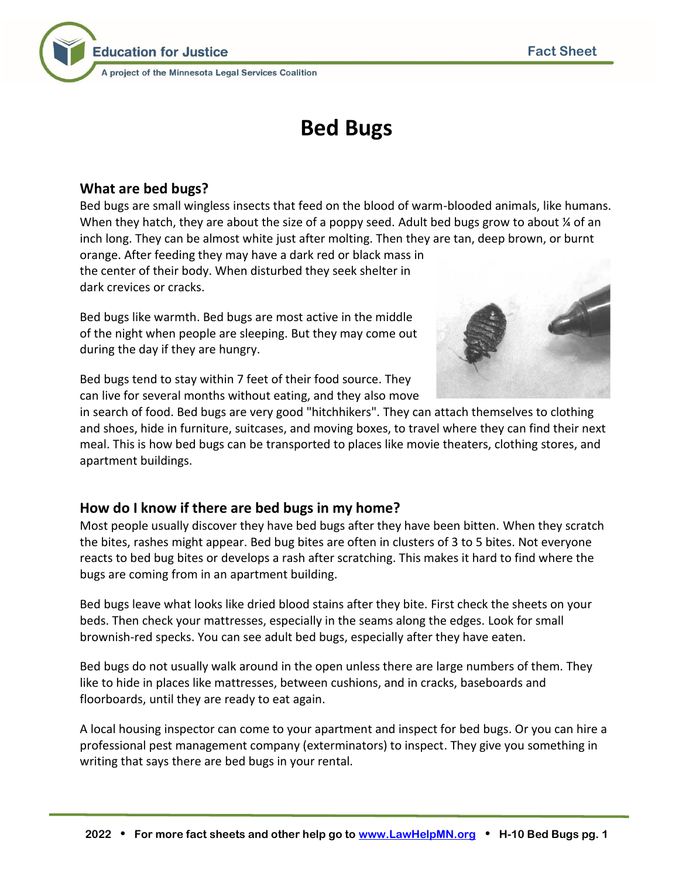

# **Bed Bugs**

## **What are bed bugs?**

Bed bugs are small wingless insects that feed on the blood of warm-blooded animals, like humans. When they hatch, they are about the size of a poppy seed. Adult bed bugs grow to about  $\frac{1}{4}$  of an inch long. They can be almost white just after molting. Then they are tan, deep brown, or burnt orange. After feeding they may have a dark red or black mass in the center of their body. When disturbed they seek shelter in dark crevices or cracks.

Bed bugs like warmth. Bed bugs are most active in the middle of the night when people are sleeping. But they may come out during the day if they are hungry.



Bed bugs tend to stay within 7 feet of their food source. They can live for several months without eating, and they also move

in search of food. Bed bugs are very good "hitchhikers". They can attach themselves to clothing and shoes, hide in furniture, suitcases, and moving boxes, to travel where they can find their next meal. This is how bed bugs can be transported to places like movie theaters, clothing stores, and apartment buildings.

## **How do I know if there are bed bugs in my home?**

Most people usually discover they have bed bugs after they have been bitten. When they scratch the bites, rashes might appear. Bed bug bites are often in clusters of 3 to 5 bites. Not everyone reacts to bed bug bites or develops a rash after scratching. This makes it hard to find where the bugs are coming from in an apartment building.

Bed bugs leave what looks like dried blood stains after they bite. First check the sheets on your beds. Then check your mattresses, especially in the seams along the edges. Look for small brownish-red specks. You can see adult bed bugs, especially after they have eaten.

Bed bugs do not usually walk around in the open unless there are large numbers of them. They like to hide in places like mattresses, between cushions, and in cracks, baseboards and floorboards, until they are ready to eat again.

A local housing inspector can come to your apartment and inspect for bed bugs. Or you can hire a professional pest management company (exterminators) to inspect. They give you something in writing that says there are bed bugs in your rental.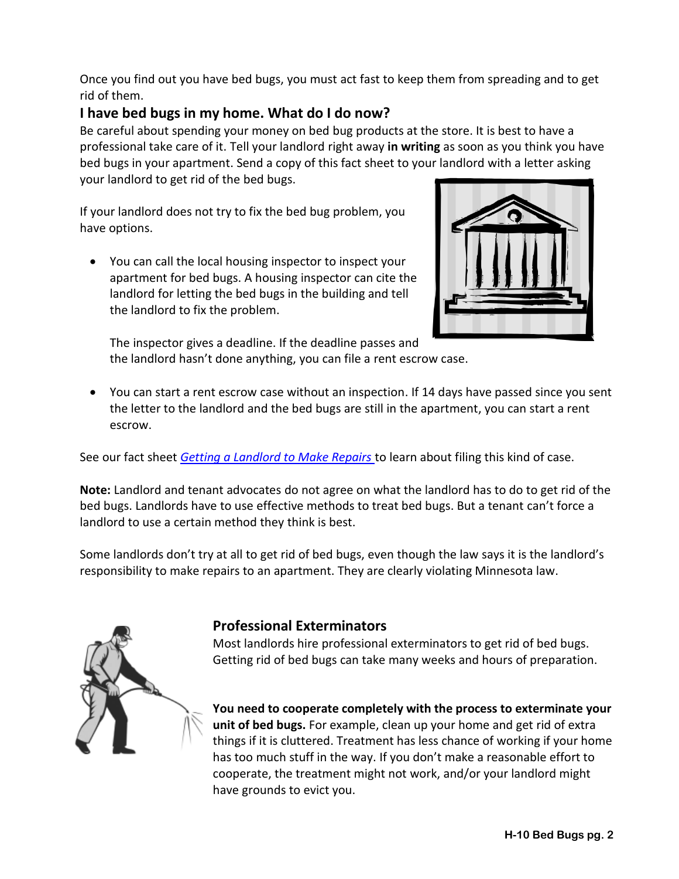Once you find out you have bed bugs, you must act fast to keep them from spreading and to get rid of them.

## **I have bed bugs in my home. What do I do now?**

Be careful about spending your money on bed bug products at the store. It is best to have a professional take care of it. Tell your landlord right away **in writing** as soon as you think you have bed bugs in your apartment. Send a copy of this fact sheet to your landlord with a letter asking your landlord to get rid of the bed bugs.

If your landlord does not try to fix the bed bug problem, you have options.

• You can call the local housing inspector to inspect your apartment for bed bugs. A housing inspector can cite the landlord for letting the bed bugs in the building and tell the landlord to fix the problem.



The inspector gives a deadline. If the deadline passes and the landlord hasn't done anything, you can file a rent escrow case.

• You can start a rent escrow case without an inspection. If 14 days have passed since you sent the letter to the landlord and the bed bugs are still in the apartment, you can start a rent escrow.

See our fact sheet *[Getting a Landlord to Make Repairs](http://www.lawhelpmn.org/self-help-library/fact-sheet/getting-landlord-make-repairs)* to learn about filing this kind of case.

**Note:** Landlord and tenant advocates do not agree on what the landlord has to do to get rid of the bed bugs. Landlords have to use effective methods to treat bed bugs. But a tenant can't force a landlord to use a certain method they think is best.

Some landlords don't try at all to get rid of bed bugs, even though the law says it is the landlord's responsibility to make repairs to an apartment. They are clearly violating Minnesota law.



## **Professional Exterminators**

Most landlords hire professional exterminators to get rid of bed bugs. Getting rid of bed bugs can take many weeks and hours of preparation.

**You need to cooperate completely with the process to exterminate your unit of bed bugs.** For example, clean up your home and get rid of extra things if it is cluttered. Treatment has less chance of working if your home has too much stuff in the way. If you don't make a reasonable effort to cooperate, the treatment might not work, and/or your landlord might have grounds to evict you.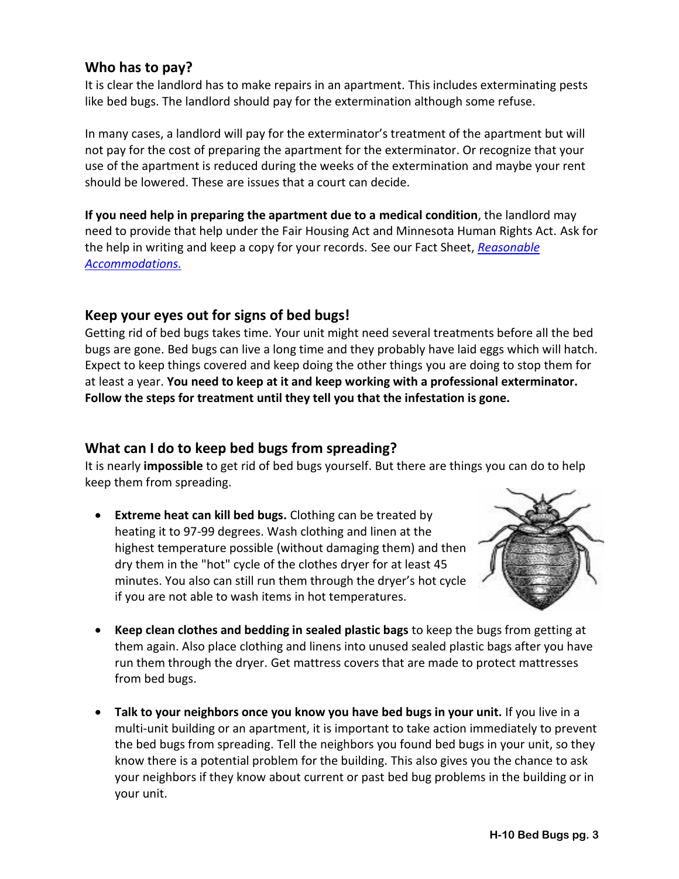#### **Who has to pay?**

It is clear the landlord has to make repairs in an apartment. This includes exterminating pests like bed bugs. The landlord should pay for the extermination although some refuse.

In many cases, a landlord will pay for the exterminator's treatment of the apartment but will not pay for the cost of preparing the apartment for the exterminator. Or recognize that your use of the apartment is reduced during the weeks of the extermination and maybe your rent should be lowered. These are issues that a court can decide.

**If you need help in preparing the apartment due to a medical condition**, the landlord may need to provide that help under the Fair Housing Act and Minnesota Human Rights Act. Ask for the help in writing and keep a copy for your records. See our Fact Sheet, *[Reasonable](http://www.lawhelpmn.org/self-help-library/fact-sheet/reasonable-accommodations-do-you-need-your-landlord-make-change)  [Accommodations.](http://www.lawhelpmn.org/self-help-library/fact-sheet/reasonable-accommodations-do-you-need-your-landlord-make-change)*

#### **Keep your eyes out for signs of bed bugs!**

Getting rid of bed bugs takes time. Your unit might need several treatments before all the bed bugs are gone. Bed bugs can live a long time and they probably have laid eggs which will hatch. Expect to keep things covered and keep doing the other things you are doing to stop them for at least a year. **You need to keep at it and keep working with a professional exterminator. Follow the steps for treatment until they tell you that the infestation is gone.**

#### **What can I do to keep bed bugs from spreading?**

It is nearly **impossible** to get rid of bed bugs yourself. But there are things you can do to help keep them from spreading.

• **Extreme heat can kill bed bugs.** Clothing can be treated by heating it to 97-99 degrees. Wash clothing and linen at the highest temperature possible (without damaging them) and then dry them in the "hot" cycle of the clothes dryer for at least 45 minutes. You also can still run them through the dryer's hot cycle if you are not able to wash items in hot temperatures.



- **Keep clean clothes and bedding in sealed plastic bags** to keep the bugs from getting at them again. Also place clothing and linens into unused sealed plastic bags after you have run them through the dryer. Get mattress covers that are made to protect mattresses from bed bugs.
- **Talk to your neighbors once you know you have bed bugs in your unit.** If you live in a multi-unit building or an apartment, it is important to take action immediately to prevent the bed bugs from spreading. Tell the neighbors you found bed bugs in your unit, so they know there is a potential problem for the building. This also gives you the chance to ask your neighbors if they know about current or past bed bug problems in the building or in your unit.